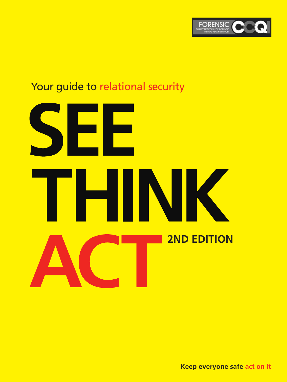

#### Your guide to relational security



**Keep everyone safe act on it**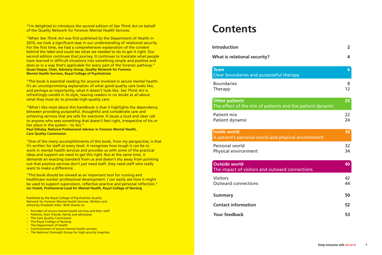"I'm delighted to introduce the second edition of *See Think Act* on behalf of the Quality Network for Forensic Mental Health Services.

"When *See Think Act* was first published by the Department of Health in 2010, we took a significant step in our understanding of relational security. For the first time, we had a comprehensive explanation of the content behind the label and could see what we needed to do to get it right. Our second edition continues that journey. It continues to translate what people have learned in difficult situations into something simple and positive and does so in a way that's applicable for every part of the forensic pathway." **Quazi Haque, Chair, Advisory Group, Quality Network for Forensic Mental Health Services, Royal College of Psychiatrists**

"This book is essential reading for anyone involved in secure mental health. It's an uncompromising explanation of what good-quality care looks like, and perhaps as importantly, what it doesn't look like. *See Think Act* is refreshingly candid in its style, leaving readers in no doubt at all about what they must do to provide high-quality care.

"What I like most about this handbook is that it highlights the dependency between providing purposeful, thoughtful and considerate care and achieving services that are safe for everyone. It issues a loud and clear call to anyone who sees something that doesn't feel right, irrespective of his or her place in the system – to Act."

**Paul Gilluley, National Professional Advisor in Forensic Mental Health, Care Quality Commission**

"One of the many accomplishments of this book, from my perspective, is that it's written for staff at every level. It recognises how tough it can be to work in mental health services and provides us with some of the practical ideas and support we need to get this right. But at the same time, it demands an exacting standard from us and doesn't shy away from pointing out that positive services don't just need staff, they need staff who really want to make a difference.

"This book should be viewed as an important tool for nursing and healthcare worker professional development. I can easily see how it might be used to support supervision, reflective practice and personal reflection." **Ian Hulatt, Professional Lead for Mental Health, Royal College of Nursing**

Published by the Royal College of Psychiatrists Quality Network for Forensic Mental Health Services. Written and edited by Elizabeth Allen. With thanks to:

- Providers of secure mental health services and their staff
- Patients, their friends, family and advocates
- The Care Quality Commission
- The Royal College of Nursing
- The Department of Health
- Commissioners of secure mental health services
- The National Oversight Group for high security hospitals

### **Contents**

| <b>Introduction</b>          |  |
|------------------------------|--|
| What is relational security? |  |

| <b>Team</b><br>Clear boundaries and purposeful therapy                             | $6\phantom{1}6$ |
|------------------------------------------------------------------------------------|-----------------|
| <b>Boundaries</b><br>Therapy                                                       | 8<br>12         |
| <b>Other patients</b><br>The effect of the mix of patients and the patient dynamic | 20              |
| Patient mix<br>Patient dynamic                                                     | 22<br>24        |
| <b>Inside world</b><br>A patient's personal world and physical environment         | 30              |
| Personal world<br>Physical environment                                             | 32<br>34        |
| <b>Outside world</b><br>The impact of visitors and outward connections             | 40              |
| <b>Visitors</b><br><b>Outward connections</b>                                      | 42<br>44        |
| <b>Summary</b>                                                                     | 50              |
| <b>Contact information</b>                                                         | 52              |
| <b>Your feedback</b>                                                               | 53              |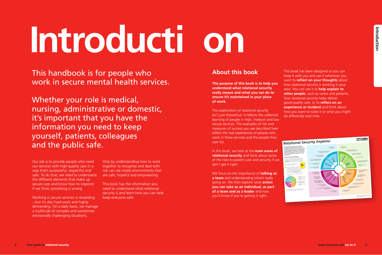# **introducti on**

This handbook is for people who work in secure mental health services.

Whether your role is medical, nursing, administrative or domestic, it's important that you have the information you need to keep yourself, patients, colleagues and the public safe.

Our job is to provide people who need our services with high-quality care in a way that's purposeful, respectful and safe. To do that, we need to understand the different elements that make up secure care and know how to respond if we think something is wrong.

Working in secure services is rewarding – but it's also hard work and highly demanding. On a daily basis, we manage a multitude of complex and sometimes emotionally challenging situations.

Only by understanding how to work together to recognise and deal with risk can we create environments that are safe, hopeful and empowering.

This book has the information you need to understand what relational security is and learn how you can help keep everyone safe.

#### **About this book**

**the purpose of this book is to help you understand what relational security really means and what you can do to ensure it's maintained in your place of work.**

This explanation of relational security isn't just theoretical. It reflects the collective learning of people in high, medium and low secure services. The examples of risk and measures of success you see described here reflect the real experiences of people who work in these services and the people they care for.

In this book, we look at the **main areas of relational security** and think about some of the risks to patient care and security if we don't get it right.

We focus on the importance of **talking as a team** and understanding what's really going on. We then explore what **action you can take as an individual, as part of a team and as a leader** and how you'll know if you're getting it right.

This book has been designed so you can keep it with you and use it whenever you want to **reflect on your thoughts** about how relational security is working in your area. You can use it to **help explain to other people**, such as carers and patients, how relational security helps deliver good-quality care, or to **reflect on an experience or incident** and think about how you want to solve it or what you might do differently next time.

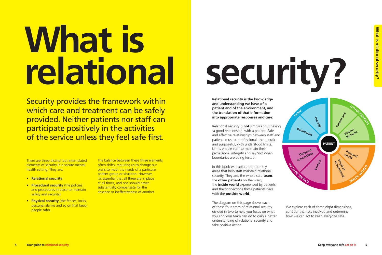# **What is<br>relational**

Security provides the framework within which care and treatment can be safely provided. Neither patients nor staff can participate positively in the activities of the service unless they feel safe first.

There are three distinct but inter-related elements of security in a secure mental health setting. They are:

- **Relational security**
- **Procedural security** (the policies and procedures in place to maintain safety and security)
- **Physical security** (the fences, locks, personal alarms and so on that keep people safe).

The balance between these three elements often shifts, requiring us to change our plans to meet the needs of a particular patient group or situation. However, it's essential that all three are in place at all times, and one should never substantially compensate for the absence or ineffectiveness of another.

# security?

**Relational security is the knowledge and understanding we have of a patient and of the environment, and the translation of that information into appropriate responses and care.**

Relational security is **not** simply about having 'a good relationship' with a patient. Safe and effective relationships between staff and patients must be professional, therapeutic and purposeful, with understood limits. Limits enable staff to maintain their professional integrity and say 'no' when boundaries are being tested.

In this book we explore the four key areas that help staff maintain relational security. They are: the whole care **team**; the **other patients** on the ward; the **inside world** experienced by patients; and the connections those patients have with the **outside world**.

The diagram on this page shows each of these four areas of relational security divided in two to help you focus on what you and your team can do to gain a better understanding of relational security and take positive action.



We explore each of these eight dimensions, consider the risks involved and determine how we can act to keep everyone safe.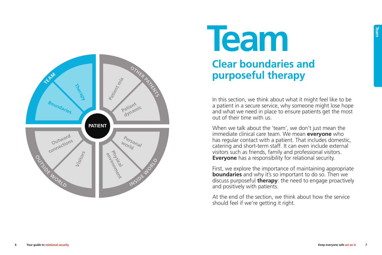

# **Team Clear boundaries and purposeful therapy**

In this section, we think about what it might feel like to be a patient in a secure service, why someone might lose hope and what we need in place to ensure patients get the most out of their time with us.

When we talk about the 'team', we don't just mean the immediate clinical care team. We mean **everyone** who has regular contact with a patient. That includes domestic, catering and short-term staff. It can even include external visitors such as friends, family and professional visitors. **Everyone** has a responsibility for relational security.

First, we explore the importance of maintaining appropriate **boundaries** and why it's so important to do so. Then we discuss purposeful **therapy**: the need to engage proactively and positively with patients.

At the end of the section, we think about how the service should feel if we're getting it right.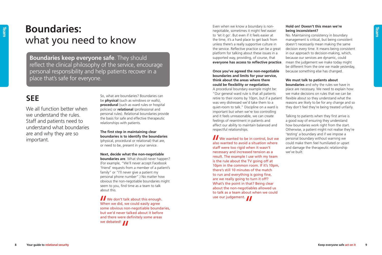### **Boundaries:** what you need to know

**Boundaries keep everyone safe**. They should reflect the clinical philosophy of the service, encourage personal responsibility and help patients recover in a place that's safe for everyone.

#### **SEE**

We all function better when we understand the rules. Staff and patients need to understand what boundaries are and why they are so important.

So, what are boundaries? Boundaries can be **physical** (such as windows or walls), **procedural** (such as ward rules or hospital policies) or **relational** (professional and personal rules). Relational boundaries provide the basis for safe and effective therapeutic relationships with patients.

**The first step in maintaining clear boundaries is to identify the boundaries** (physical, procedural or relational) that are, or need to be, present in your service.

**Next, decide what the non-negotiable boundaries are**. What should never happen? (For example, "We'll never accept Facebook 'friend' requests from a member of a patient's family" or "I'll never give a patient my personal phone number".) No matter how obvious the non-negotiable boundaries might seem to you, find time as a team to talk about this.

We don't talk about this enough. When we did, we could easily agree some obvious non-negotiable boundaries, but we'd never talked about it before and there were definitely some areas we debated!

Even when we know a boundary is nonnegotiable, sometimes it might feel easier to 'let it go'. But even if it feels easier at the time, it's a hard place to get back from unless there's a really supportive culture in the service. Reflective practice can be a great platform for talking about these issues in a supported way, providing, of course, that **everyone has access to reflective practice** .

**Once you've agreed the non-negotiable boundaries and limits for your service, think about the areas where there could be flexibility or negotiation**. A procedural boundary example might be:

"Our general ward rule is that all patients retire to their rooms by 10pm, but if a patient was very distressed we'd take them to a quiet-room to talk." Discipline on a ward is important but when we're too controlling and it feels unreasonable, we can create feelings of resentment in patients and affect our ability to maintain balanced and respectful relationships.

We wanted to be in control, but we also wanted to avoid a situation where staff were too rigid when it wasn't necessary and increased tension as a result. The example I use with my team is the rule about the TV going off at 10pm in the common room. If it's 10pm, there's still 10 minutes of the match to run and everything is going fine, are we really going to turn it off? What's the point in that? Being clear about the non-negotiables allowed us to talk as a team about when we could use our judgement.  $\blacksquare$ 

#### **Hold on! Doesn't this mean we're being inconsistent?**

No. Maintaining consistency in boundary management is critical, but being consistent doesn't necessarily mean making the same decision every time. It means being consistent in our approach to decision-making, which, because our services are dynamic, could mean the judgement we make today might be different from the one we made yesterday, because something else has changed.

**We must talk to patients about** 

**boundaries** and why the rules we have in place are necessary. We need to explain how we make decisions on rules that we can be flexible about so they understand what the reasons are likely to be for any change and so they don't feel they're being treated unfairly.

Talking to patients when they first arrive is a good way of ensuring they understand how boundaries work right from the start. Otherwise, a patient might not realise they're 'testing' a boundary and if we impose a personal boundary without warning we could make them feel humiliated or upset and damage the therapeutic relationship we've built.

**T eam**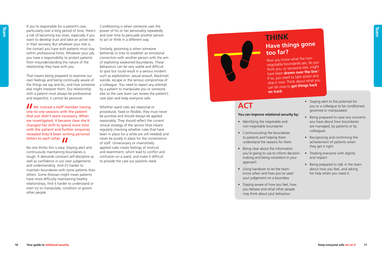particularly over a long period of time, there's a risk of becoming too close, especially if you want to develop trust and take an active role in their recovery. But whatever your role is, the contact you have with patients must stay within professional limits. Whatever your job, you have a responsibility to protect patients from misunderstanding the nature of the relationship they have with you.

If you're responsible for a patient's care,

That means being prepared to examine our own feelings and being continually aware of the things we say and do, and how someone else might interpret them. Our relationship with a patient must always be professional and respectful; it cannot be personal.

We noticed a staff member having one-to-one sessions with the patient that just didn't seem necessary. When we investigated, it became clear she'd changed her shift to spend more time with the patient and further enquiries revealed they'd been writing personal letters to each other.

No one thinks this is easy. Staying alert and continuously maintaining boundaries is tough. It demands constant self-discipline as well as confidence in our own judgements and understanding. And it's harder to maintain boundaries with some patients than others. Some illnesses might mean patients have more difficulty maintaining healthy relationships, find it harder to understand or even try to manipulate, condition or groom other people.

Conditioning is when someone uses the power of his or her personality repeatedly and over time to persuade another person to act or think in a different way.

Similarly, grooming is when someone befriends or tries to establish an emotional connection with another person with the aim of exploiting weakened boundaries. These behaviours can be very subtle and difficult to spot but could result in a serious incident such as exploitation, sexual assault, blackmail, suicide, escape or the serious compromise of a colleague. You need to report any attempt by a patient to manipulate you or someone else so the care team can review the patient's care plan and keep everyone safe.

Whether ward rules are relational or procedural, fixed or flexible, they must never be punitive and should always be applied reasonably. They should reflect the current clinical strategy of the service (that means regularly checking whether rules that have been in place for a while are still needed) and never be purely in place for the convenience of staff. Unnecessary or insensitively applied rules create feelings of mistrust and resentment, which lead to conflict and confusion on a ward, and make it difficult to provide the care our patients need.

#### **THIN K Have things gone too far?**

Now you know what the nonnegotiable boundaries are, do you think you, or someone else, might have been **drawn over the line**? If so, you need to take action and stop it now. Think about what you can do now to **get things back on track** .

#### **A c t**

- Identifying the negotiable and non-negotiable boundaries
- Communicating the boundaries to patients and helping them understand the reasons for them
- Being clear about the information you're going to use to inform decisionmaking and being consistent in your approach
- Using handover to let the team know when and how you've used your judgement on a boundary
- Staying aware of how you feel, how you behave and what other people may think about your behaviour
- Staying alert to the potential for you or a colleague to be conditioned, groomed or manipulated
- Being prepared to raise any concerns you have about how boundaries are managed, by patients or by colleagues
- Recognising and confirming the achievement of patients when they get it right
- Treating everyone with dignity and respect
- Being prepared to talk in the team about how you feel, and asking for help when you need it.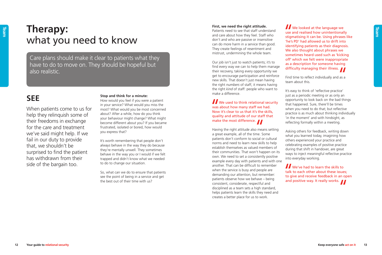# **Therapy:** what you need to know

Care plans should make it clear to patients what they have to do to move on. They should be hopeful but also realistic.

#### **SEE**

When patients come to us for help they relinquish some of their freedoms in exchange for the care and treatment we've said might help. If we fail in our duty to provide that, we shouldn't be surprised to find the patient has withdrawn from their side of the bargain too.

#### **Stop and think for a minute:**

How would you feel if you were a patient in your service? What would you miss the most? What would you be most concerned about? After a while, how do you think your behaviour might change? What might become different about you? If you became frustrated, isolated or bored, how would you express that?

It's worth remembering that people don't *always* behave in the way they do because they're mentally unwell. They sometimes behave in the way you or I would if we felt trapped and didn't know what we needed to do to change our situation.

So, what can we do to ensure that patients see the point of being in a service and get the best out of their time with us?

#### **First, we need the right attitude.**

Patients need to see that staff understand and care about how they feel. Staff who don't and who are passive or insensitive can do more harm in a service than good. They create feelings of resentment and mistrust, undermining the whole team.

Our job isn't just to watch patients; it's to find every way we can to help them manage their recovery, taking every opportunity we get to encourage participation and reinforce new skills. That doesn't just mean having the right *numbers* of staff, it means having the right *kind* of staff: people who want to make a difference.

We used to think relational security was about how many staff we had. Now it's clear to us that it's the skills, quality and attitude of our staff that make the most difference.

Having the right attitude also means setting a great example, all of the time. Some patients don't conform to social or cultural norms and need to learn new skills to help establish themselves as valued members of their communities. That won't happen on its own. We need to set a consistently positive example every day with patients and with one another. That can be difficult to remember when the service is busy and people are demanding our attention, but remember: patients observe how we behave – being consistent, considerate, respectful and disciplined as a team sets a high standard, helps patients learn the skills they need and creates a better place for us to work.

We looked at the language we use and realised how unintentionally stigmatising it can be. Using phrases like 'he's PD' had allowed us to drift into identifying patients as their diagnosis. We also thought about phrases we sometimes heard used such as 'kicking off' which we felt were inappropriate as a description for someone having difficulty managing their illness.

Find time to reflect individually and as a team about this.

It's easy to think of 'reflective practice' just as a periodic meeting or as only an opportunity to look back on the bad things that happened. Sure, there'll be times when you need to do that; but reflective practice is as much about thinking individually 'in the moment' and with hindsight, as reflecting formally within a meeting.

Asking others for feedback, writing down what you learned today, imagining how others experienced your practice and celebrating examples of positive practice during that shift in handover, are great ways to inject meaningful reflective practice into everyday working.

We've had to learn the skills to talk to each other about these issues; to give and receive feedback in an open and positive way. It really works.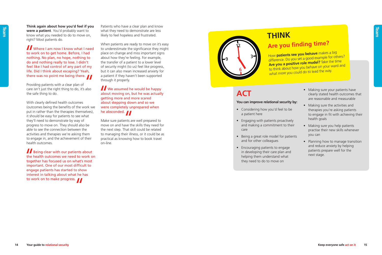**Think again about how you'd feel if you were a patient**. You'd probably want to know what you needed to do to move on, right? Most patients do.

II Where I am now I know what I need to work on to get home. Before, I had nothing. No plan, no hope, nothing to do and nothing really to lose. I didn't feel like I had control of any part of my life. Did I think about escaping? Yeah, there was no point me being there.

Providing patients with a clear plan of care isn't just the right thing to do, it's also the safe thing to do.

With clearly defined health outcomes (outcomes being the benefits of the work we put in rather than the therapies themselves), it should be easy for patients to see what they'll need to demonstrate by way of progress to move on. They should also be able to see the connection between the activities and therapies we're asking them to engage in, and the achievement of their health outcomes.

Being clear with our patients about the health outcomes we need to work on together has focused us on what's most important. One of our most difficult to engage patients has started to show interest in talking about what he has to work on to make progress.

Patients who have a clear plan and know what they need to demonstrate are less likely to feel hopeless and frustrated.

When patients are ready to move on it's easy to underestimate the significance they might place on change and miss important signs about how they're feeling. For example, the transfer of a patient to a lower level of security might (to us) feel like progress, but it can also mean increased anxiety for a patient if they haven't been supported through it properly.

We assumed he would be happy about moving on, but he was actually getting more and more scared about stepping down and so we were completely unprepared when he absconded.

Make sure patients are well prepared to move on and have the skills they need for the next step. That skill could be related to managing their illness, or it could be as practical as knowing how to book travel on-line.



#### **THINK**

#### **Are you finding time?**

How **patients see you behave** makes a big difference. Do you set a good example for others? **Are you a positive role model?** Take the time to think about how you behave on your ward and what more you could do to lead the way.

#### **Act**

- Considering how you'd feel to be a patient here
- Engaging with patients proactively and making a commitment to their care
- Being a great role model for patients and for other colleagues
- Encouraging patients to engage in developing their care plan and helping them understand what they need to do to move on
- Making sure your patients have clearly stated health outcomes that are reasonable and measurable
- Making sure the activities and therapies you're asking patients to engage in fit with achieving their health goals
- Making sure you help patients practise their new skills whenever you can
- Planning how to manage transition and reduce anxiety by helping patients prepare well for the next stage.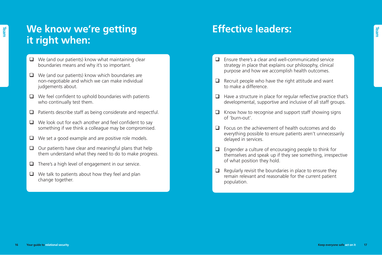# **We know we're getting it right when:**

- $\Box$  We (and our patients) know what maintaining clear boundaries means and why it's so important.
- $\Box$  We (and our patients) know which boundaries are non-negotiable and which we can make individual judgements about.
- $\Box$  We feel confident to uphold boundaries with patients who continually test them.
- $\Box$  Patients describe staff as being considerate and respectful.
- $\Box$  We look out for each another and feel confident to say something if we think a colleague may be compromised.
- $\Box$  We set a good example and are positive role models.
- Our patients have clear and meaningful plans that help  $\Box$ them understand what they need to do to make progress.
- $\Box$  There's a high level of engagement in our service.
- $\Box$  We talk to patients about how they feel and plan change together.

# **Effective leaders: Team Team**

- $\Box$  Ensure there's a clear and well-communicated service strategy in place that explains our philosophy, clinical purpose and how we accomplish health outcomes.
- $\Box$  Recruit people who have the right attitude and want to make a difference.
- $\Box$  Have a structure in place for regular reflective practice that's developmental, supportive and inclusive of all staff groups.
- $\Box$  Know how to recognise and support staff showing signs of 'burn-out'.
- $\Box$  Focus on the achievement of health outcomes and do everything possible to ensure patients aren't unnecessarily delayed in services.
- $\Box$  Engender a culture of encouraging people to think for themselves and speak up if they see something, irrespective of what position they hold.
- Regularly revisit the boundaries in place to ensure they  $\Box$ remain relevant and reasonable for the current patient population.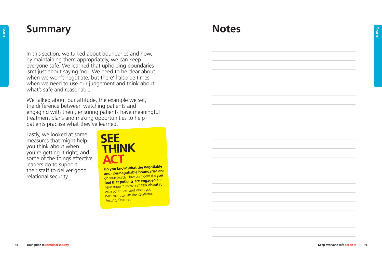# **Summary**

In this section, we talked about boundaries and how, by maintaining them appropriately, we can keep everyone safe. We learned that upholding boundaries isn't just about saying 'no'. We need to be clear about when we won't negotiate, but there'll also be times when we need to use our judgement and think about what's safe and reasonable.

We talked about our attitude, the example we set, the difference between watching patients and engaging with them, ensuring patients have meaningful treatment plans and making opportunities to help patients practise what they've learned.

Lastly, we looked at some measures that might help you think about when you're getting it right; and some of the things effective leaders do to support their staff to deliver good relational security.



**Do you know what the negotiable and non-negotiable boundaries are** on your ward? How confident **do you feel that patients are engage<sup>d</sup>** and have hope in recovery? **Talk about it** with your team and when you next meet to use the Relational Security Explorer.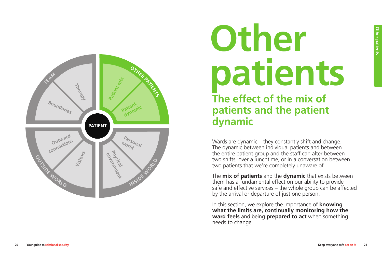

# **Other patients**

**The effect of the mix of patients and the patient dynamic**

Wards are dynamic – they constantly shift and change. The dynamic between individual patients and between the entire patient group and the staff can alter between two shifts, over a lunchtime, or in a conversation between two patients that we're completely unaware of.

The **mix of patients** and the **dynamic** that exists between them has a fundamental effect on our ability to provide safe and effective services – the whole group can be affected by the arrival or departure of just one person.

In this section, we explore the importance of **knowing what the limits are, continually monitoring how the ward feels** and being **prepared to act** when something needs to change.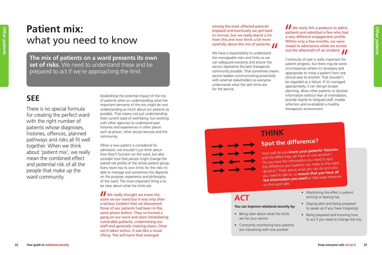# **Patient mix:** what you need to know

**The mix of patients on a ward presents its own set of risks.** We need to understand these and be prepared to act if we're approaching the limit.

#### **SEE**

There is no special formula for creating the perfect ward with the right number of patients whose diagnoses, histories, offences, planned pathways and risks all fit well together. When we think about 'patient mix', we really mean the combined effect and potential risk of all the people that make up the ward community.

Establishing the potential impact of the mix of patients relies on understanding what the important elements of the mix might be and understanding as much about our patients as possible. That means not just understanding their current state of well-being, but working with other agencies to understand past histories and experiences in other places such as prison, other secure services and the community.

When a new patient is considered for admission, we shouldn't just think about how they'll function on the ward, but also consider how that person might change the overall risk profile of the whole patient group. Every team has its own limits for the risks it's able to manage and sometimes this depends on the purpose, experience and philosophy of the ward. The most important thing is to be clear about what the limits are.

We really thought we knew the score on our ward but it was only after a serious incident that we discovered three of our patients had been in the same prison before. They re-formed a gang on our ward and were intimidating vulnerable patients, undermining our staff and generally creating chaos. Once we'd taken action, it was like a cloud lifting. The self-harm that emerged

among the most affected patients stopped and eventually we got back to normal, but we really learnt a lot from this and now think a lot more carefully about the mix of patients.

We have a responsibility to understand the manageable risks and limits so we can safeguard everyone and ensure the service represents the best therapeutic community possible. That sometimes means service leaders communicating proactively with external stakeholders so everyone understands what the safe limits are for the service.

We really felt a pressure to admit patients and admitted a few who had a very different engagement profile. Within only a few months, we were closed to admissions while we sorted out the aftermath of an incident.

Continuity of care is really important for patient progress, but there may be some circumstances where it's necessary and appropriate to move a patient from one clinical area to another. That shouldn't be regarded as a failure. If it's managed appropriately, it can disrupt escape planning, allow other patients to disclose information without fear of intimidation, provide respite to fatigued staff, enable reflection and re-establish a healthy therapeutic environment.

#### **THINK Spot the difference?**

How well do you **know your patients' histories** and the effect they can have on one another? Do you have the information you need to spot the difference your patients can make to the ward dynamic? Think about what you can do and who you need to talk to, to **ensure that you have all the information you need** to help keep everyone on the ward safe.

#### **Act**

- Being clear about what the limits are for your service
- Constantly monitoring how patients are interacting with one another
- Monitoring the effect a patient arriving or leaving has
- Staying alert and being prepared to speak up if you have misgivings
- Being prepared and knowing how to act if you need to change the mix.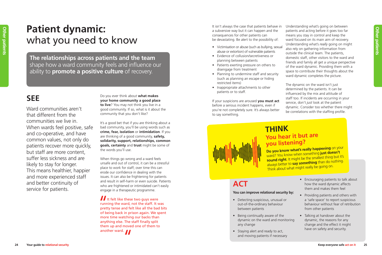#### **Patient dynamic:** what you need to know

**The relationships across patients and the team**  shape how a ward community feels and influence our ability to **promote a positive culture** of recovery.

#### **SEE**

Ward communities aren't that different from the communities we live in. When wards feel positive, safe and co-operative, and have common values, not only do patients recover more quickly, but staff are more content, suffer less sickness and are likely to stay for longer. This means healthier, happier and more experienced staff and better continuity of service for patients.

Do you ever think about **what makes your home community a good place to live**? You may not think you live in a good community. If so, what is it about the community that you don't like?

It's a good bet that if you are thinking about a bad community, you'll be using words such as **crime, fear, isolation** or **intimidation**. If you are thinking of a good community, **safety, solidarity, support, relationships, common goals, certainty** and **trust** might be some of the words you'll use.

When things go wrong and a ward feels unsafe and out of control, it can be a stressful place to work for staff; over time this can erode our confidence in dealing with the issues. It can also be frightening for patients and result in self-harm or even suicide. Patients who are frightened or intimidated can't easily engage in a therapeutic programme.

If it felt like these two guys were running the ward, not the staff. It was pretty tense and felt like all the bad bits of being back in prison again. We spent more time watching our backs than anything else. The staff finally split them up and moved one of them to another ward.

It isn't always the case that patients behave in a subversive way but it can happen and the consequences for other patients can be devastating. Be alert to the possibility of:

- Victimisation or abuse (such as bullying, sexual abuse or extortion) of vulnerable patients
- Evidence of collusion/secretiveness or planning between patients
- Patients exerting pressure on others to disengage from treatment
- Planning to undermine staff and security (such as planning an escape or hiding restricted items)
- Inappropriate attachments to other patients or to staff.

If your suspicions are aroused **you must act** before a serious incident happens, even if you're not completely sure. It's always better to say something.

Understanding what's going on between patients and acting before it goes too far means you stay in control and keep the ward focused on its main aim of recovery. Understanding what's *really* going on might also rely on gathering information from outside the clinical team. The patients, domestic staff, other visitors to the ward and friends and family all get a unique perspective of the ward dynamic. Providing them with a space to contribute their thoughts about the ward dynamic completes the picture.

The dynamic on the ward isn't just determined by the patients. It can be influenced by the mix and attitude of staff too. If incidents are occurring in your service, don't *just* look at the patient dynamic. Consider too whether there might be correlations with the staffing profile.

#### **THINK You hear it but are you listening?**

**Do you know what's really happening** on your ward? You know when something **just doesn't**  sound right. It might be the smallest thing but it's always better to **say something** than do nothing. Think about what might really be going on.

#### **Act**

- Detecting suspicious, unusual or out-of-the-ordinary behaviour between patients
- Being continually aware of the dynamic on the ward and monitoring any change
- Staying alert and ready to act, and moving patients if necessary
- Encouraging patients to talk about how the ward dynamic affects them and makes them feel
- Providing patients and others with a 'safe space' to report suspicious behaviour without fear of retribution from other patients
- Talking at handover about the dynamic, the reasons for any change and the effect it might have on safety and security.

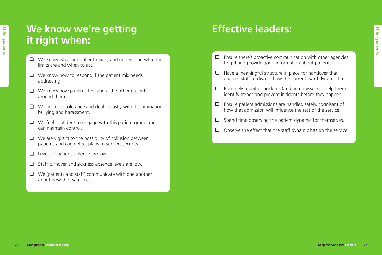# **We know we're getting it right when:**

- $\Box$  We know what our patient mix is, and understand what the limits are and when to act.
- $\Box$  We know how to respond if the patient mix needs addressing.
- $\Box$  We know how patients feel about the other patients around them.
- $\Box$  We promote tolerance and deal robustly with discrimination, bullying and harassment.
- $\Box$  We feel confident to engage with this patient group and can maintain control.
- $\Box$  We are vigilant to the possibility of collusion between patients and can detect plans to subvert security.
- Levels of patient violence are low.  $\Box$
- Staff turnover and sickness absence levels are low.  $\Box$
- $\Box$  We (patients and staff) communicate with one another about how the ward feels.

# **Effective leaders:**

- $\Box$ Ensure there's proactive communication with other agencies to get and provide good information about patients.
- Have a meaningful structure in place for handover that  $\Box$ enables staff to discuss how the current ward dynamic feels.
- $\Box$  Routinely monitor incidents (and near misses) to help them identify trends and prevent incidents before they happen.
- Ensure patient admissions are handled safely, cognisant of how that admission will influence the rest of the service.
- Spend time observing the patient dynamic for themselves.  $\Box$
- Observe the effect that the staff dynamic has on the service.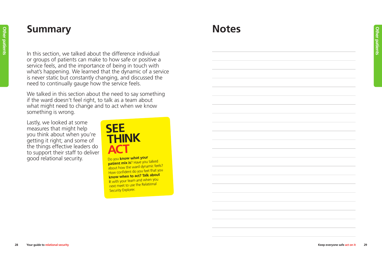# Other patients **Other patients**

# **Summary**

In this section, we talked about the difference individual or groups of patients can make to how safe or positive a service feels, and the importance of being in touch with what's happening. We learned that the dynamic of a service is never static but constantly changing, and discussed the need to continually gauge how the service feels.

We talked in this section about the need to say something if the ward doesn't feel right, to talk as a team about what might need to change and to act when we know something is wrong.

Lastly, we looked at some measures that might help you think about when you're getting it right; and some of the things effective leaders do to support their staff to deliver good relational security. **Do you know what your** 

|--|

**patient mix is**? Have you talked about how the ward dynamic feels? How confident do you feel that you **know when to act? Talk about <sup>i</sup>**t with your team and when you next meet to use the Relational Security Explorer.

#### **Notes**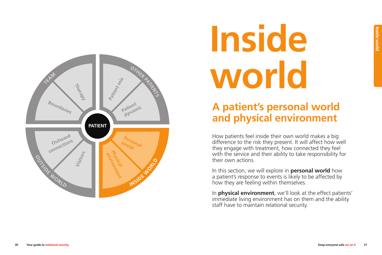

# **Inside world**

# **A patient's personal world and physical environment**

How patients feel inside their own world makes a big difference to the risk they present. It will affect how well they engage with treatment, how connected they feel with the service and their ability to take responsibility for their own actions.

In this section, we will explore in **personal world** how a patient's response to events is likely to be affected by how they are feeling within themselves.

In **physical environment**, we'll look at the effect patients' immediate living environment has on them and the ability staff have to maintain relational security.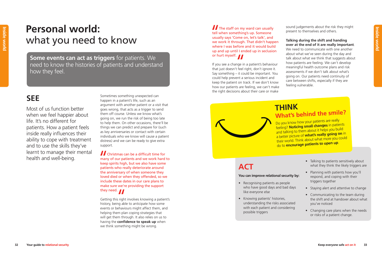#### **Personal world:** what you need to know

**Some events can act as triggers** for patients. We need to know the histories of patients and understand how they feel.

#### **SEE**

Most of us function better when we feel happier about life. It's no different for patients. How a patient feels inside really influences their ability to cope with treatment and to use the skills they've learnt to manage their mental health and well-being.

Sometimes something unexpected can happen in a patient's life, such as an argument with another patient or a visit that goes wrong, that acts as a trigger to send them off course. Unless we know what's going on, we run the risk of being too late to help them. On other occasions, there'll be things we can predict and prepare for (such as key anniversaries or contact with certain individuals who we know will cause a patient distress) and we can be ready to give extra support.

**II** Christmas can be a difficult time for many of our patients and we work hard to keep spirits high, but we also have some patients who really deteriorate around the anniversary of when someone they loved died or when they offended, so we include these dates in our care plans to make sure we're providing the support they need.

Getting this right involves knowing a patient's history, being able to anticipate how some events or behaviours might affect them, and helping them plan coping strategies that will get them through. It also relies on us to having the **confidence to speak up** when we think something might be wrong.

#### The staff on my ward can usually tell when something's up. Someone usually says 'Come on, let's talk', and we work it through. That didn't happen where I was before and it would build up and up until I ended up in seclusion or hurt myself.

If you see a change in a patient's behaviour that just doesn't feel right, don't ignore it. Say something – it could be important. You could help prevent a serious incident and keep the patient on track. If we don't know how our patients are feeling, we can't make the right decisions about their care or make

sound judgements about the risk they might present to themselves and others.

#### **Talking during the shift and handing over at the end of it are really important**.

We need to communicate with one another about what we've seen during the day and talk about what we think that suggests about how patients are feeling. We can't develop meaningful health outcome plans and risk assessments if we don't talk about what's going on. Our patients need continuity of care between shifts, especially if they are feeling vulnerable.



#### **THINK What's behind the smile?**

Do you know how your patients are really feeling? **Noticing small changes** in patients and talking to them about it helps you build a better picture of **what's really going on** in their world. Think about what more you could do to **encourage patients to open up**.

#### **Act**

- Recognising patients as people who have good days and bad days like everyone else
- Knowing patients' histories, understanding the risks associated with each patient and considering possible triggers
- Talking to patients sensitively about what they think the likely triggers are
- Planning with patients how you'll respond, and coping with their triggers together
- Staying alert and attentive to change
- Communicating to the team during the shift and at handover about what you've noticed
- Changing care plans when the needs or risks of a patient change.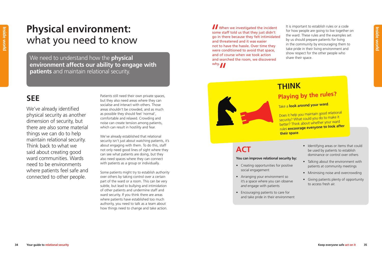# **Physical environment:** what you need to know

We need to understand how the **physical environment affects our ability to engage with patients** and maintain relational security.

#### **SEE**

We've already identified physical security as another dimension of security, but there are also some material things we can do to help maintain relational security. Think back to what we said about creating good ward communities. Wards need to be environments where patients feel safe and connected to other people.

Patients still need their own private spaces, but they also need areas where they can socialise and interact with others. Those areas shouldn't be crowded, and as much as possible they should feel 'normal', comfortable and relaxed. Crowding and noise can create tension among patients, which can result in hostility and fear.

We've already established that relational security isn't just about watching patients, it's about engaging with them. To do this, staff not only need good lines of sight where they can see what patients are doing, but they also need spaces where they can connect with patients as a group or individually.

Some patients might try to establish authority over others by taking control over a certain part of the ward or a room. This can be very subtle, but lead to bullying and intimidation of other patients and undermine staff and ward security. If you think there are areas where patients have established too much authority, you need to talk as a team about how things need to change and take action.

**II** When we investigated the incident some staff told us that they just didn't go in there because they felt intimidated and threatened and it was easier not to have the hassle. Over time they were conditioned to avoid that space, and of course when we took action and searched the room, we discovered why. $\blacksquare$ 

It is important to establish rules or a code for how people are going to live together on the ward. These rules and the examples set by us should prepare patients for living in the community by encouraging them to take pride in their living environment and show respect for the other people who share their space.



#### **THINK Playing by the rules?**

Take a **look around your ward**.

Does it help you maintain good relational security? What could you do to make it better? Think about whether your ward rules **encourage everyone to look after their space**.

#### **Act**

- Creating opportunities for positive social engagement
- Arranging your environment so it's a space where you can observe *and* engage with patients
- Encouraging patients to care for and take pride in their environment
- Identifying areas or items that could be used by patients to establish dominance or control over others
- Talking about the environment with patients at community meetings
- Minimising noise and overcrowding
- Giving patients plenty of opportunity to access fresh air.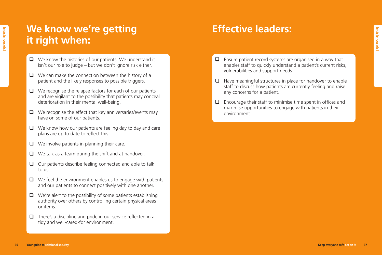# **We know we're getting it right when:**

- $\Box$  We know the histories of our patients. We understand it isn't our role to judge – but we don't ignore risk either.
- $\Box$  We can make the connection between the history of a patient and the likely responses to possible triggers.
- $\Box$  We recognise the relapse factors for each of our patients and are vigilant to the possibility that patients may conceal deterioration in their mental well-being.
- $\Box$  We recognise the effect that key anniversaries/events may have on some of our patients.
- $\Box$  We know how our patients are feeling day to day and care plans are up to date to reflect this.
- We involve patients in planning their care.  $\Box$
- We talk as a team during the shift and at handover.  $\Box$
- Our patients describe feeling connected and able to talk  $\Box$ to us.
- $\Box$  We feel the environment enables us to engage with patients and our patients to connect positively with one another.
- $\Box$  We're alert to the possibility of some patients establishing authority over others by controlling certain physical areas or items.
- $\Box$  There's a discipline and pride in our service reflected in a tidy and well-cared-for environment.

# **Effective leaders:**

- Ensure patient record systems are organised in a way that enables staff to quickly understand a patient's current risks, vulnerabilities and support needs.
- Have meaningful structures in place for handover to enable  $\Box$ staff to discuss how patients are currently feeling and raise any concerns for a patient.
- $\Box$  Encourage their staff to minimise time spent in offices and maximise opportunities to engage with patients in their environment.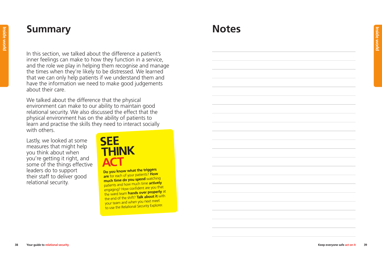# **Inside world Inside world**

## **Summary**

In this section, we talked about the difference a patient's inner feelings can make to how they function in a service, and the role we play in helping them recognise and manage the times when they're likely to be distressed. We learned that we can only help patients if we understand them and have the information we need to make good judgements about their care.

We talked about the difference that the physical environment can make to our ability to maintain good relational security. We also discussed the effect that the physical environment has on the ability of patients to learn and practise the skills they need to interact socially with others.

Lastly, we looked at some measures that might help you think about when you're getting it right, and some of the things effective leaders do to support their staff to deliver good relational security.

**SEE THINK** 

**Do you know what the triggers are** for each of your patients? **How much time do you spend** watching patients and how much time **actively** engaging? How confident are you that the ward team **hands over properly** at the end of the shift? **Talk about it** with your team and when you next mee<sup>t</sup> to use the Relational Security Explorer.

#### **Notes**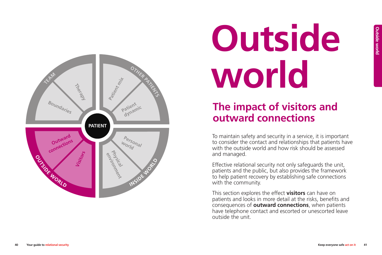

# **Outside world**

# **The impact of visitors and outward connections**

To maintain safety and security in a service, it is important to consider the contact and relationships that patients have with the outside world and how risk should be assessed and managed.

Effective relational security not only safeguards the unit, patients and the public, but also provides the framework to help patient recovery by establishing safe connections with the community.

This section explores the effect **visitors** can have on patients and looks in more detail at the risks, benefits and consequences of **outward connections**, when patients have telephone contact and escorted or unescorted leave outside the unit.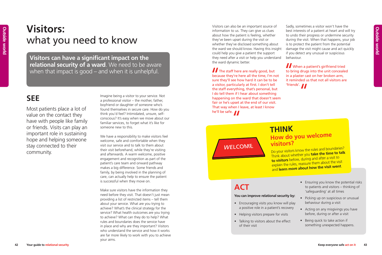# **Visitors:** what you need to know

**Visitors can have a significant impact on the relational security of a ward**. We need to be aware when that impact is good – and when it is unhelpful.

#### **SEE**

Most patients place a lot of value on the contact they have with people like family or friends. Visits can play an important role in sustaining hope and helping someone stay connected to their community.

Imagine being a visitor to your service. Not a professional visitor – the mother, father, boyfriend or daughter of someone who's found themselves in secure care. How do you think you'd feel? Intimidated, unsure, selfconscious? It's easy when we move about our familiar services, to forget what it's like for someone new to this.

We have a responsibility to make visitors feel welcome, safe and comfortable when they visit our service and to talk to them about their visit beforehand, while they're visiting and afterwards. A warm welcome, positive engagement and recognition as part of the patient's care team and onward pathway makes a big difference. Some friends and family, by being involved in the planning of care, can actually help to ensure the patient is successful when they move on.

Make sure visitors have the information they need before they visit. That doesn't just mean providing a list of restricted items – tell them about your service. What are you trying to achieve? What's the clinical strategy for the service? What health outcomes are you trying to achieve? What can they do to help? What rules and boundaries does the service have in place and why are they important? Visitors who understand the service and how it works are far more likely to work with you to achieve your aims.

Visitors can also be an important source of information to us. They can give us clues about how the patient is feeling, whether they've been upset during the visit or whether they've disclosed something about the ward we should know. Having this insight could help you give a patient the support they need after a visit or help you understand the ward dynamic better.

 $\blacksquare$  The staff here are really good, but because they're here all the time, I'm not sure they'll see how hard it can be to be a visitor, particularly at first. I don't tell the staff everything, that's personal, but I do tell them if I hear about something happening on the ward that doesn't seem fair or he's upset at the end of our visit. That way when I leave, at least I know he'll be safe.  $\blacksquare$ 

Sadly, sometimes a visitor won't have the best interests of a patient at heart and will try to undo their progress or undermine security during the visit. When that happens, your job is to protect the patient from the potential damage the visit might cause and act quickly if you detect any unusual or suspicious behaviour.

**//** When a patient's girlfriend tried to bring drugs into the unit concealed in a plaster cast on her broken arm, it reminded us that not all visitors are 'friends'.

#### **THINK How do you welcome visitors?**

Do your visitors know the rules and boundaries? Think about whether you **take the time to talk to visitors** before, during and after a visit to explain the rules, reassure them about the visit and **learn more about how the visit went**.

#### **Act**

**WELCOME** 

#### **You can improve relational security by:**

- Encouraging visits you know will play a positive role in a patient's recovery
- Helping visitors prepare for visits
- Talking to visitors about the effect of their visit
- Ensuring you know the potential risks to patients and visitors – thinking of 'safeguarding' at all times
- Picking up on suspicious or unusual behaviour during a visit
- Acting on any misgivings you have before, during or after a visit
- Being quick to take action if something unexpected happens.

**Outside world**

**Outside world**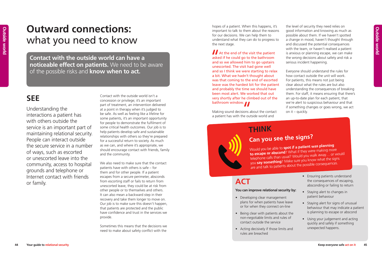#### **Outward connections:** what you need to know

**Contact with the outside world can have a noticeable effect on patients.** We need to be aware of the possible risks and **know when to act.**

#### **SEE**

Understanding the interactions a patient has with others outside the service is an important part of maintaining relational security. People can interact outside the secure service in a number of ways, such as escorted or unescorted leave into the community, access to hospital grounds and telephone or Internet contact with friends or family.

Contact with the outside world isn't a concession or privilege; it's an important part of treatment, an intervention delivered at a point in therapy when it's judged to be safe. As well as feeling like a lifeline for some patients, it's an important opportunity for people to demonstrate the fulfilment of some critical health outcomes. Our job is to help patients develop safe and sustainable relationships with others so they're prepared for a successful return to society. As much as we can, and where it's appropriate, we should encourage contact with friends, family and the community.

We also need to make sure that the contact patients have with others is safe – for them and for other people. If a patient escapes from a secure perimeter, absconds from escorting staff or fails to return from unescorted leave, they could be at risk from other people or to themselves and others. It can also mean a backward step in their recovery and take them longer to move on. Our job is to make sure this doesn't happen, that patients are protected and the public have confidence and trust in the services we provide.

Sometimes this means that the decisions we need to make about safety conflict with the

hopes of a patient. When this happens, it's important to talk to them about the reasons for our decisions. We can help them to understand what they can do to progress to the next stage.

At the end of the visit the patient asked if he could go to the bathroom and so we allowed him to go upstairs unescorted. The visit had gone well and so I think we were starting to relax a bit. What we hadn't thought about was that coming to the end of escorted leave was the hardest bit for the patient and probably the time we should have been most alert. We worked that out very shortly after he climbed out of the bathroom window.

Making sound decisions about the contact a patient has with the outside world and



Everyone should understand the rules for how contact outside the unit will work. For patients, this means not just being clear about what the rules are but also understanding the consequences of breaking them. For staff, it means ensuring that there's an up-to-date plan for each patient, that we're alert to suspicious behaviour and that if something changes or goes wrong, we act on it – quickly.



#### **THINK Can you see the signs?**

Would you be able to **spot if a patient was planning to escape or abscond**? What if they were making more telephone calls than usual? Would you walk away… or would you **say something**? Make sure you know what the signs are and talk to patients about the possible consequences.

#### **Act**

- Developing clear management plans for when patients have leave or for when they connect on-line
- Being clear with patients about the non-negotiable limits and rules of contact outside the service
- Acting decisively if those limits and rules are breached
- Ensuring patients understand the consequences of escaping, absconding or failing to return
- Staying alert to changes in patient behaviour
- Staying alert for signs of unusual behaviour that may indicate a patient is planning to escape or abscond
- Using your judgement and acting quickly and safely if something unexpected happens.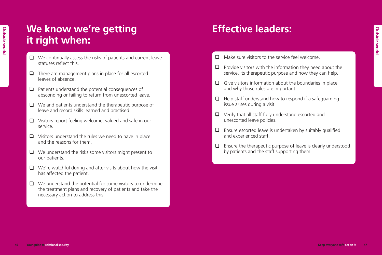# **Effective leaders:**<br> **Effective leaders:**<br> **Effective leaders:**<br> **Effective leaders: it right when:**

- $\Box$  We continually assess the risks of patients and current leave statuses reflect this.
- $\Box$  There are management plans in place for all escorted leaves of absence.
- $\Box$  Patients understand the potential consequences of absconding or failing to return from unescorted leave.
- $\Box$  We and patients understand the therapeutic purpose of leave and record skills learned and practised.
- $\Box$  Visitors report feeling welcome, valued and safe in our service.
- $\Box$  Visitors understand the rules we need to have in place and the reasons for them.
- $\Box$  We understand the risks some visitors might present to our patients.
- $\Box$  We're watchful during and after visits about how the visit has affected the patient.
- $\Box$  We understand the potential for some visitors to undermine the treatment plans and recovery of patients and take the necessary action to address this.

- Make sure visitors to the service feel welcome.
- $\Box$  Provide visitors with the information they need about the service, its therapeutic purpose and how they can help.
- Give visitors information about the boundaries in place and why those rules are important.
- $\Box$  Help staff understand how to respond if a safeguarding issue arises during a visit.
- $\Box$  Verify that all staff fully understand escorted and unescorted leave policies.
- $\square$  Ensure escorted leave is undertaken by suitably qualified and experienced staff.
- $\Box$  Ensure the therapeutic purpose of leave is clearly understood by patients and the staff supporting them.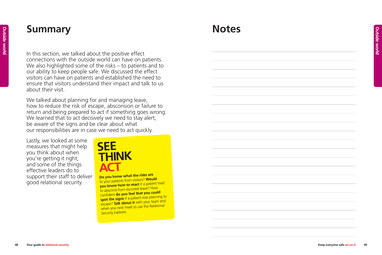# **Outside world Outside world**

# **Summary**

In this section, we talked about the positive effect connections with the outside world can have on patients. We also highlighted some of the risks – to patients and to our ability to keep people safe. We discussed the effect visitors can have on patients and established the need to ensure that visitors understand their impact and talk to us about their visit.

We talked about planning for and managing leave, how to reduce the risk of escape, absconsion or failure to return and being prepared to act if something goes wrong. We learned that to act decisively we need to stay alert, be aware of the signs and be clear about what our responsibilities are in case we need to act quickly.

Lastly, we looked at some measures that might help you think about when you're getting it right; and some of the things effective leaders do to support their staff to deliver good relational security.



to your patients from visitors? **Would you know how to react** if a patient tried to abscond from escorted leave? How confident **do you feel that you could spot the signs** if a patient was planning to escape? **Talk about it** with your team an<sup>d</sup> when you next meet to use the Relational Security Explorer.

#### **Notes**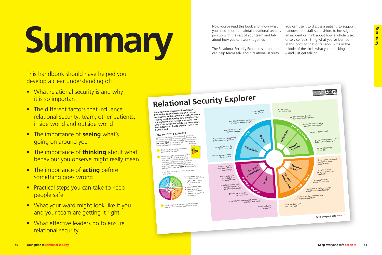# **Summary**

Now you've read this book and know what you need to do to maintain relational security, join up with the rest of your team and talk about how you can work together.

The Relational Security Explorer is a tool that can help teams talk about relational security.

> Are we positive role models?

You can use it to discuss a patient, to support handover, for staff supervision, to investigate an incident or think about how a whole ward or service feels. Bring what you've learned in this book to that discussion, write in the middle of the circle what you're talking about – and just get talking!

This handbook should have helped you develop a clear understanding of:

- What relational security is and why it is so important
- $\bullet$  The different factors that influence relational security: team, other patients, inside world and outside world
- The importance of **seeing** what's going on around you
- The importance of **thinking** about what behaviour you observe might really mean
- The importance of **acting** before something goes wrong
- Practical steps you can take to keep people safe
- What your ward might look like if you and your team are getting it right
- What effective leaders do to ensure relational security.



**Relational Security Explorer**

**Good relational security is the collective**

ecide to you're which active it's going to happen.

Do we talk enoug<sup>h</sup> Are we tackling discrimin bullying and harassment?

**CCQ** 

Do we know everything



**<sup>O</sup>THE<sup>R</sup> <sup>P</sup>AT<sup>I</sup>ENT<sup>S</sup>**

How does the ward dynamic<br>feel for us and for patients?

Do we know what's really going on on the ward?

Do we feel in control?

about this?

**Patien<sup>t</sup> dynami<sup>c</sup>**

**Patient mix**

Is our ward tidy and<br>
Do visitors know the rules?<br>
the rules?

Do we know<br>our patient mix?

**Keep everyone safe act on it**

**Summary**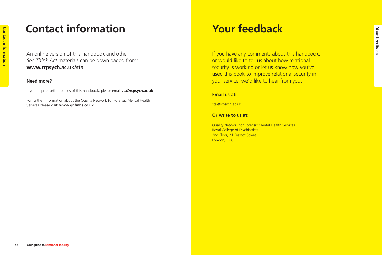# **Contact information**

An online version of this handbook and other *See Think Act* materials can be downloaded from: **www.rcpsych.ac.uk/sta**

#### **Need more?**

If you require further copies of this handbook, please email **sta@rcpsych.ac.uk**

For further information about the Quality Network for Forensic Mental Health Services please visit: **www.qnfmhs.co.uk**

# **Your feedback**

If you have any comments about this handbook, or would like to tell us about how relational security is working or let us know how you've used this book to improve relational security in your service, we'd like to hear from you.

#### **Email us at:**

sta@rcpsych.ac.uk

#### **Or write to us at:**

Quality Network for Forensic Mental Health Services Royal College of Psychiatrists 2nd Floor, 21 Prescot Street London, E1 8BB